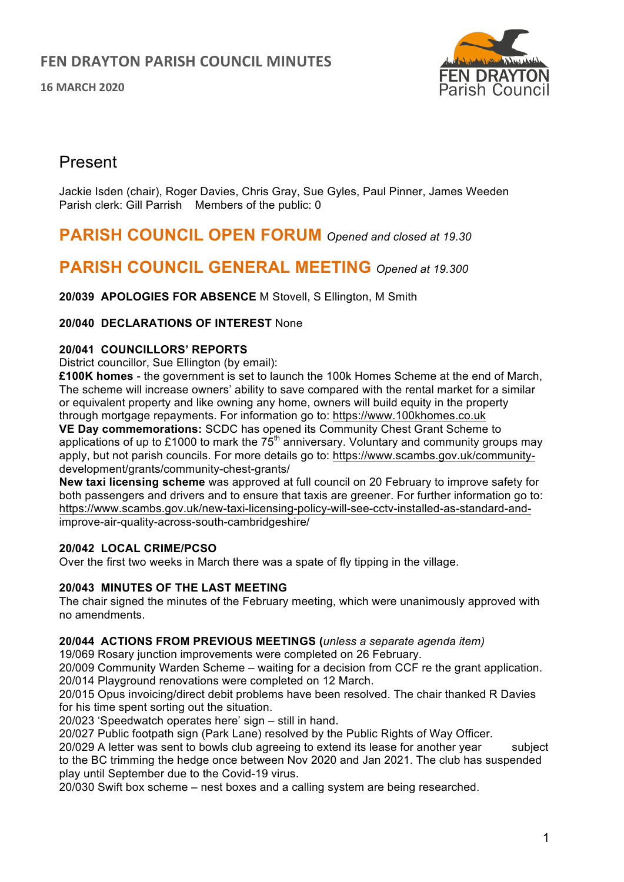**16 MARCH 2020**



## Present

Jackie Isden (chair), Roger Davies, Chris Gray, Sue Gyles, Paul Pinner, James Weeden Parish clerk: Gill Parrish Members of the public: 0

## **PARISH COUNCIL OPEN FORUM** *Opened and closed at 19.30*

# **PARISH COUNCIL GENERAL MEETING** *Opened at 19.300*

**20/039 APOLOGIES FOR ABSENCE** M Stovell, S Ellington, M Smith

## **20/040 DECLARATIONS OF INTEREST** None

## **20/041 COUNCILLORS' REPORTS**

District councillor, Sue Ellington (by email):

**£100K homes** - the government is set to launch the 100k Homes Scheme at the end of March, The scheme will increase owners' ability to save compared with the rental market for a similar or equivalent property and like owning any home, owners will build equity in the property through mortgage repayments. For information go to: https://www.100khomes.co.uk

**VE Day commemorations:** SCDC has opened its Community Chest Grant Scheme to applications of up to £1000 to mark the  $75<sup>th</sup>$  anniversary. Voluntary and community groups may apply, but not parish councils. For more details go to: https://www.scambs.gov.uk/communitydevelopment/grants/community-chest-grants/

**New taxi licensing scheme** was approved at full council on 20 February to improve safety for both passengers and drivers and to ensure that taxis are greener. For further information go to: https://www.scambs.gov.uk/new-taxi-licensing-policy-will-see-cctv-installed-as-standard-andimprove-air-quality-across-south-cambridgeshire/

## **20/042 LOCAL CRIME/PCSO**

Over the first two weeks in March there was a spate of fly tipping in the village.

#### **20/043 MINUTES OF THE LAST MEETING**

The chair signed the minutes of the February meeting, which were unanimously approved with no amendments.

#### **20/044 ACTIONS FROM PREVIOUS MEETINGS (***unless a separate agenda item)*

19/069 Rosary junction improvements were completed on 26 February.

20/009 Community Warden Scheme – waiting for a decision from CCF re the grant application. 20/014 Playground renovations were completed on 12 March.

20/015 Opus invoicing/direct debit problems have been resolved. The chair thanked R Davies for his time spent sorting out the situation.

20/023 'Speedwatch operates here' sign – still in hand.

20/027 Public footpath sign (Park Lane) resolved by the Public Rights of Way Officer.

20/029 A letter was sent to bowls club agreeing to extend its lease for another year subject to the BC trimming the hedge once between Nov 2020 and Jan 2021. The club has suspended play until September due to the Covid-19 virus.

20/030 Swift box scheme – nest boxes and a calling system are being researched.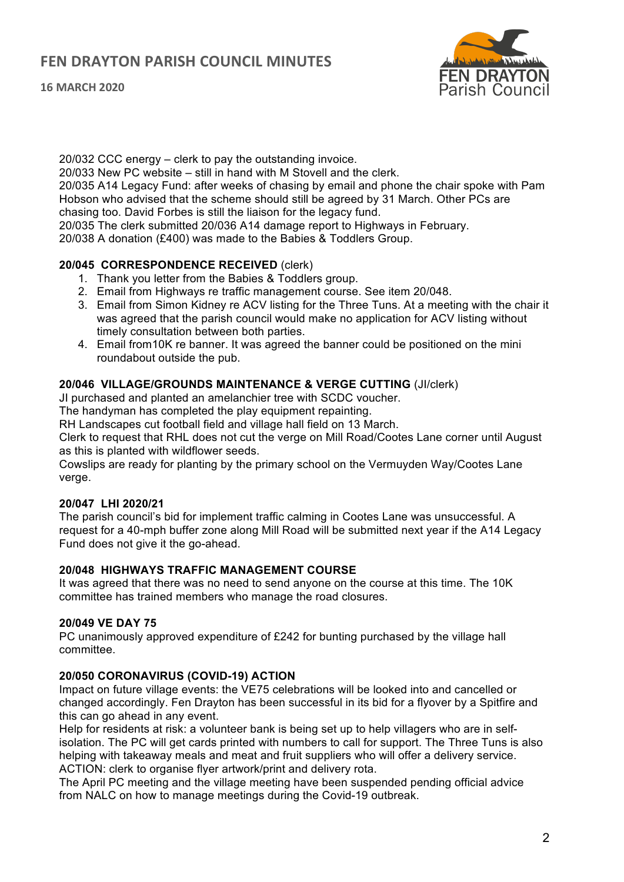

20/032 CCC energy – clerk to pay the outstanding invoice.

20/033 New PC website – still in hand with M Stovell and the clerk.

20/035 A14 Legacy Fund: after weeks of chasing by email and phone the chair spoke with Pam Hobson who advised that the scheme should still be agreed by 31 March. Other PCs are chasing too. David Forbes is still the liaison for the legacy fund.

20/035 The clerk submitted 20/036 A14 damage report to Highways in February.

20/038 A donation (£400) was made to the Babies & Toddlers Group.

## **20/045 CORRESPONDENCE RECEIVED** (clerk)

- 1. Thank you letter from the Babies & Toddlers group.
- 2. Email from Highways re traffic management course. See item 20/048.
- 3. Email from Simon Kidney re ACV listing for the Three Tuns. At a meeting with the chair it was agreed that the parish council would make no application for ACV listing without timely consultation between both parties.
- 4. Email from10K re banner. It was agreed the banner could be positioned on the mini roundabout outside the pub.

## **20/046 VILLAGE/GROUNDS MAINTENANCE & VERGE CUTTING** (JI/clerk)

JI purchased and planted an amelanchier tree with SCDC voucher.

The handyman has completed the play equipment repainting.

RH Landscapes cut football field and village hall field on 13 March.

Clerk to request that RHL does not cut the verge on Mill Road/Cootes Lane corner until August as this is planted with wildflower seeds.

Cowslips are ready for planting by the primary school on the Vermuyden Way/Cootes Lane verge.

## **20/047 LHI 2020/21**

The parish council's bid for implement traffic calming in Cootes Lane was unsuccessful. A request for a 40-mph buffer zone along Mill Road will be submitted next year if the A14 Legacy Fund does not give it the go-ahead.

## **20/048 HIGHWAYS TRAFFIC MANAGEMENT COURSE**

It was agreed that there was no need to send anyone on the course at this time. The 10K committee has trained members who manage the road closures.

#### **20/049 VE DAY 75**

PC unanimously approved expenditure of £242 for bunting purchased by the village hall committee.

#### **20/050 CORONAVIRUS (COVID-19) ACTION**

Impact on future village events: the VE75 celebrations will be looked into and cancelled or changed accordingly. Fen Drayton has been successful in its bid for a flyover by a Spitfire and this can go ahead in any event.

Help for residents at risk: a volunteer bank is being set up to help villagers who are in selfisolation. The PC will get cards printed with numbers to call for support. The Three Tuns is also helping with takeaway meals and meat and fruit suppliers who will offer a delivery service. ACTION: clerk to organise flyer artwork/print and delivery rota.

The April PC meeting and the village meeting have been suspended pending official advice from NALC on how to manage meetings during the Covid-19 outbreak.